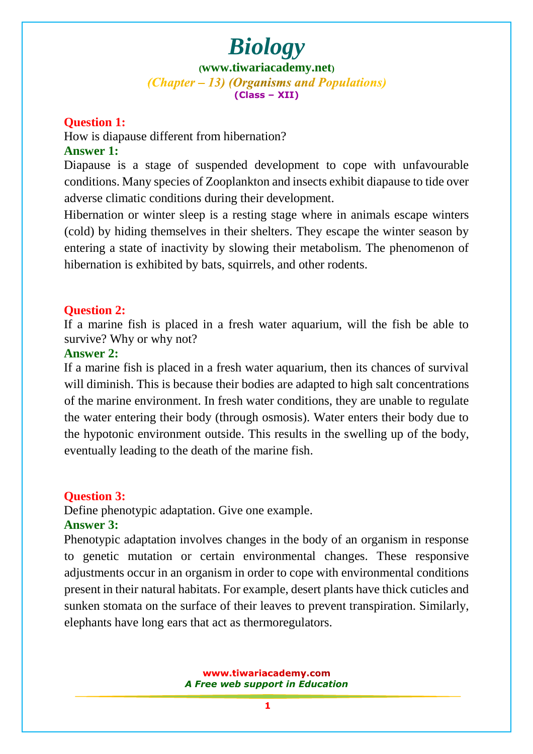**([www.tiwariacademy.net](http://www.tiwariacademy.net/))** (Chapter – 13) (Organisms and Populations) **(Class – XII)**

#### **Question 1:**

How is diapause different from hibernation?

#### **Answer 1:**

Diapause is a stage of suspended development to cope with unfavourable conditions. Many species of Zooplankton and insects exhibit diapause to tide over adverse climatic conditions during their development.

Hibernation [or winter sleep is a resting stage where in animals esca](www.tiwariacademy.com)pe winters (cold) by hiding themselves in their shelters. They escape the winter season by entering a state of inactivity by slowing their metabolism. The phenomenon of hibernation is exhibited by bats, squirrels, and other rodents.

## **Question 2:**

If a marine fish is placed in a fresh water aquarium, will the fish be able to survive? Why or why not?

#### **Answer 2:**

If a marine fish is placed in a fresh water aquarium, then its chances of survival will diminish. [This is because their bodies are adapted to high salt co](www.tiwariacademy.com)ncentrations of the marine environment. In fresh water conditions, they are unable to regulate the water entering their body (through osmosis). Water enters their body due to the hypotonic environment outside. This results in the swelling up of the body, eventually leading to the death of the marine fish.

## **Question 3:**

Define phenotypic adaptation. Give one example. **Answer 3:**

## Phenotypic adaptation involves changes in the body of an organism in response to genetic mutation or certain environmental changes. These responsive

adjustments occur in an o[rganism in order to cope](www.tiwariacademy.com) with environmental conditions present in their natural habitats. For example, desert plants have thick cuticles and sunken stomata on the surface of their leaves to prevent transpiration. Similarly, elephants have long ears that act as thermoregulators.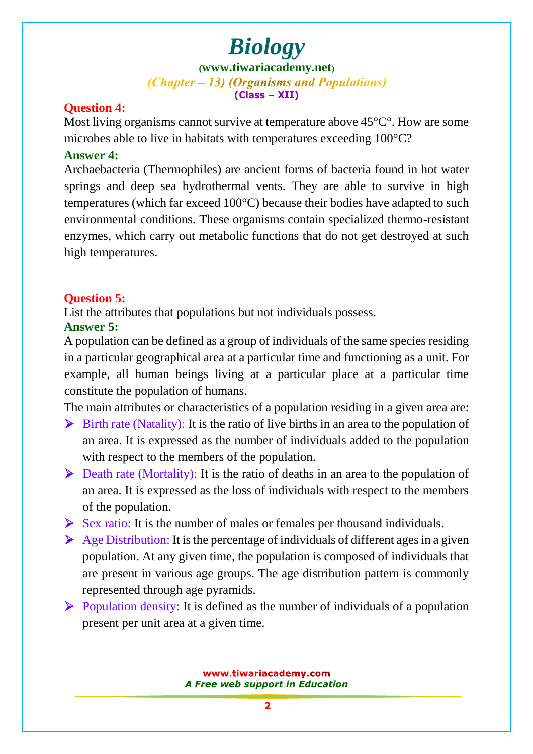**([www.tiwariacademy.net](http://www.tiwariacademy.net/))** (Chapter – 13) (Organisms and Populations) **(Class – XII)**

## **Question 4:**

Most living organisms cannot survive at temperature above 45<sup>o</sup>C<sup>o</sup>. How are some microbes able to live in habitats with temperatures exceeding 100°C?

## **Answer 4:**

Archaebacteria (Thermophiles) are ancient forms of bacteria found in hot water springs and deep sea hydrothermal vents. They are able to survive in high temperatures (which far exceed 100°C) because their bodies have adapted to such environmental conditions. These organisms contain specialized thermo-resistant enzymes, which carry out metabolic functions that do not get destroyed at such high temperatures.

## **Question 5:**

List the attributes that populations but not individuals possess.

## **Answer 5:**

A population can be defined as a group of individuals of the same species residing in a particular geographical area at a particular time and functioning as a unit. For example, all human beings living at a particular place at a particular time constitute the population of humans.

The main attributes or characteristics of a population residing in a given area are:

- $\triangleright$  Birth rate (Natality): It is the ratio of live births in an area to the population of an area. It is expressed as the number of individuals added to the population with respect to the members of the population.
- $\triangleright$  Death rate (Mortality): It is the ratio of deaths in an area to the population of an area. It is expressed as the loss of individuals with respect to the members of the population.
- $\triangleright$  Sex ratio: It is th[e number of males or femal](www.tiwariacademy.com)es per thousand individuals.
- $\triangleright$  Age Distribution: It is the percentage of individuals of different ages in a given population. At any given time, the population is composed of individuals that are present in various age groups. The age distribution pattern is commonly represented through age pyramids.
- $\triangleright$  Population density: It is defined as the number of individuals of a population present per unit area at a given time.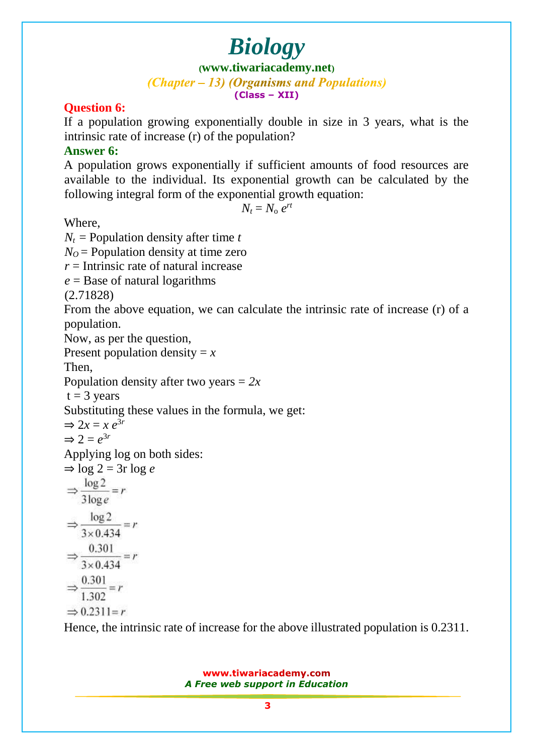**([www.tiwariacademy.net](http://www.tiwariacademy.net/))** (Chapter – 13) (Organisms and Populations)

**(Class – XII)**

## **Question 6:**

If a population growing exponentially double in size in 3 years, what is the intrinsic rate of increase (r) of the population?

## **Answer 6:**

A population grows exponentially if sufficient amounts of food resources are available to the individual. Its exponential growth can be calculated by the following integral form of the exponential growth equation:

$$
N_t = N_{\rm o} e^{rt}
$$

Where,

 $N_t$  = Population density after time *t*  $N<sub>O</sub>$  = Population density at time zero *r* = Intrinsic rate of natural increase *e* = Base of natural logarithms (2.71828) From [the above equation, we can](www.tiwariacademy.com) calculate the intrinsic rate of increase (r) of a population. Now, as per the question, Present population density  $=x$ Then, Population density after two years = *2x*  $t = 3$  years Substituting these values in the formula, we get:  $\Rightarrow$  2*x* = *x*  $e^{3r}$  $\Rightarrow$  2 =  $e^{3r}$ Applying log on both sides:  $\Rightarrow$  log 2 = 3r log *e*  $\Rightarrow \frac{\log 2}{3 \log e} = r$  $\Rightarrow \frac{\log 2}{3 \times 0.434} = r$  $\Rightarrow \frac{0.301}{3 \times 0.434} = r$  $\Rightarrow \frac{0.301}{1.302} = r$  $\Rightarrow$  0.2311=r

Hence, the intrinsic rate of increase for the above illustrated population is 0.2311.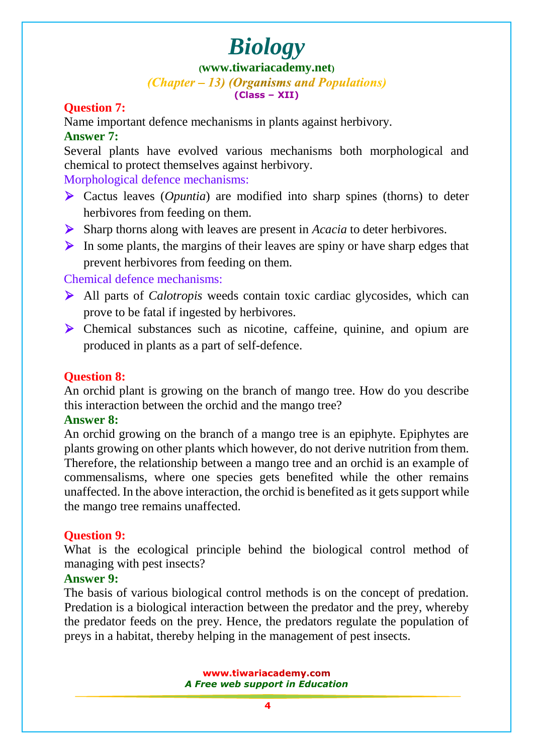## **([www.tiwariacademy.net](http://www.tiwariacademy.net/))**

(Chapter – 13) (Organisms and Populations) **(Class – XII)**

## **Question 7:**

Name important defence mechanisms in plants against herbivory. **Answer 7:**

Several plants have evolved various mechanisms both morphological and chemical to protect themselves against herbivory.

Morphological defence mechanisms:

- Cactus leaves (*Opuntia*) are modified into sharp spines (thorns) to deter herbivores from feeding on them.
- Sharp thorns along with leaves are present in *Acacia* to deter herbivores.
- $\triangleright$  In some plants, the margins of their leaves are spiny or have sharp edges that prevent herbivores from feeding on them.

## Chemical defence mechanisms:

- All parts of *Calotropis* weeds contain toxic cardiac glycosides, which can prove to be fatal if ingested by herbivores.
- Chemical substances such as nicotine, caffeine, quinine, and opium are produced in plants as a part of self-defence.

## **Question 8:**

An orchid plant is growing on the branch of mango tree. How do you describe this interaction between the orchid and the mango tree?

## **Answer 8:**

An orchid growing on the branch of a mango tree is an epiphyte. Epiphytes are plants growing on other plants which however, do not derive nutrition from them. Therefore, the relationship between a mango tree and an orchid is an example of commensalisms, where one species gets benefited while the other remains unaffected. In the above interaction, the orchid is benefited as it gets support while the mango tree remains unaffected.

## **Question 9:**

What is the ecolo[gical principle behind the biolo](www.tiwariacademy.com)gical control method of managing with pest insects?

## **Answer 9:**

The basis of various biological control methods is on the concept of predation. Predation is a biological interaction between the predator and the prey, whereby the predator feeds on the prey. Hence, the predators regulate the population of preys in a habitat, thereby helping in the management of pest insects.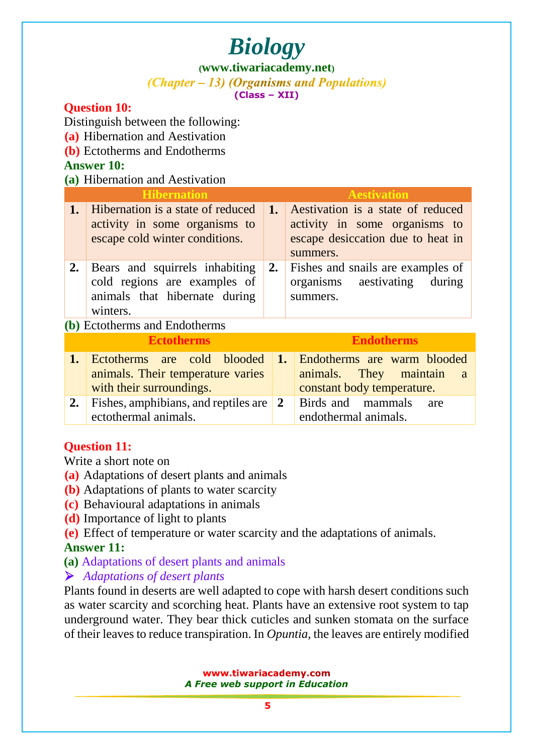**([www.tiwariacademy.net](http://www.tiwariacademy.net/))**

(Chapter – 13) (Organisms and Populations) **(Class – XII)**

## **Question 10:**

Distinguish between the following:

- **(a)** Hibernation and Aestivation
- **(b)** Ectotherms and Endotherms

## **Answer 10:**

**(a)** Hibernation and Aestivation

| $\mathbf{u}_t$ and $\mathbf{u}_t$ and $\mathbf{u}_t$ and $\mathbf{u}_t$ |                                                                                                             |                |                                                                                                                     |  |  |  |  |
|-------------------------------------------------------------------------|-------------------------------------------------------------------------------------------------------------|----------------|---------------------------------------------------------------------------------------------------------------------|--|--|--|--|
| <b>Hibernation</b>                                                      |                                                                                                             |                | <b>Aestivation</b>                                                                                                  |  |  |  |  |
| 1.                                                                      | Hibernation is a state of reduced<br>activity in some organisms to<br>escape cold winter conditions.        | 1.             | Aestivation is a state of reduced<br>activity in some organisms to<br>escape desiccation due to heat in<br>summers. |  |  |  |  |
| 2.                                                                      | Bears and squirrels inhabiting<br>cold regions are examples of<br>animals that hibernate during<br>winters. | 2.             | Fishes and snails are examples of<br>organisms aestivating<br>during<br>summers.                                    |  |  |  |  |
| (b) Ectotherms and Endotherms                                           |                                                                                                             |                |                                                                                                                     |  |  |  |  |
| <b>Ectotherms</b>                                                       |                                                                                                             |                | <b>Endotherms</b>                                                                                                   |  |  |  |  |
| 1.                                                                      | Ectotherms are cold blooded<br>animals. Their temperature varies<br>with their surroundings.                | $\mathbf{1}$ . | Endotherms are warm blooded<br>animals.<br>They<br>maintain<br><sub>a</sub><br>constant body temperature.           |  |  |  |  |

|                                                                 | and the contract of the contract of the contract of the contract of the contract of the contract of the contract of |  |
|-----------------------------------------------------------------|---------------------------------------------------------------------------------------------------------------------|--|
| 2. Fishes, amphibians, and reptiles are 2 Birds and mammals are |                                                                                                                     |  |
| ectothermal animals.                                            | endothermal animals.                                                                                                |  |

## **Question 11:**

Write a short note on

- **(a)** Adaptations of desert plants and animals
- **(b)** Adaptations of plants to water scarcity
- **(c)** Behavioural adaptations in animals
- **(d)** Importance of light to plants
- **(e)** Effect of temperature or water scarcity and the adaptations of animals.

## **Answer 11:**

**(a)** Adaptations of desert plants and animals

## *Adaptations of desert plants*

Plants found in deserts are well adapted to cope with harsh desert conditions such as water scarcity and scorching heat. Plants have an extensive root system to tap underground water. They bear thick cuticles and sunken stomata on the surface of their leaves to reduce transpiration. In *Opuntia,* the leaves are entirely modified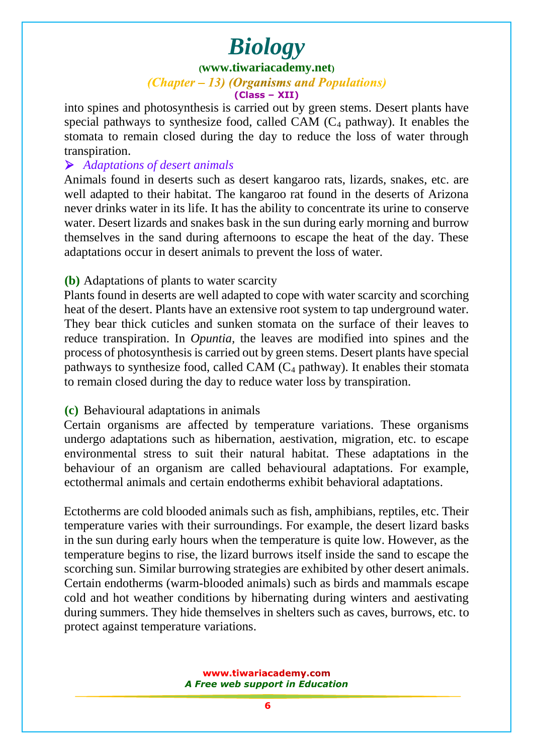#### **([www.tiwariacademy.net](http://www.tiwariacademy.net/))**

#### (Chapter – 13) (Organisms and Populations)

#### **(Class – XII)**

into spines and photosynthesis is carried out by green stems. Desert plants have special pathways to synthesize food, called CAM  $(C_4$  pathway). It enables the stomata to remain closed during the day to reduce the loss of water through transpiration.

#### *Adaptations of desert animals*

Animals found in deserts such as desert kangaroo rats, lizards, snakes, etc. are well adapted to their habitat. The kangaroo rat found in the deserts of Arizona never drinks water in its life. It has the ability to concentrate its urine to conserve water. Desert lizards and snakes bask in the sun during early morning and burrow themselves in the sand during afternoons to escape the heat of the day. These adaptations occur in desert animals to prevent the loss of water.

#### **(b)** Adaptations of plants to water scarcity

Plants found in deser[ts are well adapted to cope with water sca](www.tiwariacademy.com)rcity and scorching heat of the desert. Plants have an extensive root system to tap underground water. They bear thick cuticles and sunken stomata on the surface of their leaves to reduce transpiration. In *Opuntia,* the leaves are modified into spines and the process of photosynthesis is carried out by green stems. Desert plants have special pathways to synthesize food, called CAM  $(C_4$  pathway). It enables their stomata to remain closed during the day to reduce water loss by transpiration.

#### **(c)** Behavioural adaptations in animals

Certain organisms are affected by temperature variations. These organisms undergo adaptations such as hibernation, aestivation, migration, etc. to escape environmental stress to suit their natural habitat. These adaptations in the behaviour of an organism are called behavioural adaptations. For example, ectothermal animals and certain endotherms exhibit behavioral adaptations.

Ectotherms are cold blooded animals such as fish, amphibians, reptiles, etc. Their temperature varies with their surroundings. For example, the desert lizard basks in the sun during early hours when the temperature is quite low. However, as the temperature begins to rise, the lizard burrows itself inside the sand to escape the scorching sun. Similar burrowing strategies are exhibited by other desert animals. Certain endotherms (warm-blooded animals) such as birds and mammals escape cold and hot weather conditions by hibernating during winters and aestivating during summers. They hide themselves in shelters such as caves, burrows, etc. to protect against temperature variations.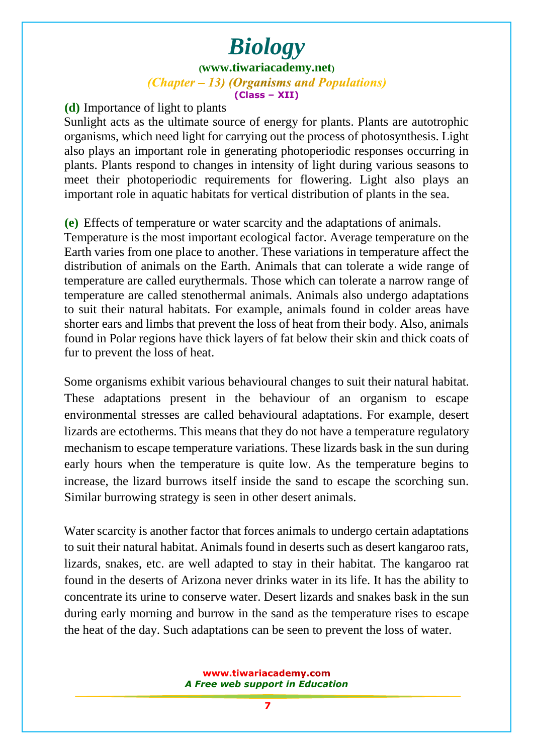## *Biology* **([www.tiwariacademy.net](http://www.tiwariacademy.net/))** (Chapter – 13) (Organisms and Populations) **(Class – XII)**

**(d)** Importance of light to plants

Sunlight acts as the ultimate source of energy for plants. Plants are autotrophic organisms, which need light for carrying out the process of photosynthesis. Light also plays an important role in generating photoperiodic responses occurring in plants. Plants respond to changes in intensity of light during various seasons to meet their photoperiodic requirements for flowering. Light also plays an important role in aquatic habitats for vertical distribution of plants in the sea.

**(e)** Effects of temperature or water scarcity and the adaptations of animals.

Temperature is the most important ecological factor. Average temperature on the Earth varies from one place to another. These variations in temperature affect the distribution of animals on the Earth. Animals that can tolerate a wide range of temperature are called eurythermals. Those which can tolerate a narrow range of temperature are call[ed stenothermal animals. Anima](www.tiwariacademy.com)ls also undergo adaptations to suit their natural habitats. For example, animals found in colder areas have shorter ears and limbs that prevent the loss of heat from their body. Also, animals found in Polar regions have thick layers of fat below their skin and thick coats of fur to prevent the loss of heat.

Some organisms exhibit various behavioural changes to suit their natural habitat. These adaptations present in the behaviour of an organism to escape environmental stresses are called behavioural adaptations. For example, desert lizards are ectotherms. This means that they do not have a temperature regulatory mechanism to escape temperature variations. These lizards bask in the sun during early hours when the temperature is quite low. As the temperature begins to increase, the lizard burrows itself inside the sand to escape the scorching sun. Similar burrowing strategy is seen in other desert animals.

Water scarcity is another factor that forces animals to undergo certain adaptations to suit their natural habitat. Animals found in deserts such as desert kangaroo rats, lizards, snakes, etc. are well adapted to stay in their habitat. The kangaroo rat found in the deserts of Arizona never drinks water in its life. It has the ability to concentrate its urine to conserve water. Desert lizards and snakes bask in the sun during early morning and burrow in the sand as the temperature rises to escape the heat of the day. Such adaptations can be seen to prevent the loss of water.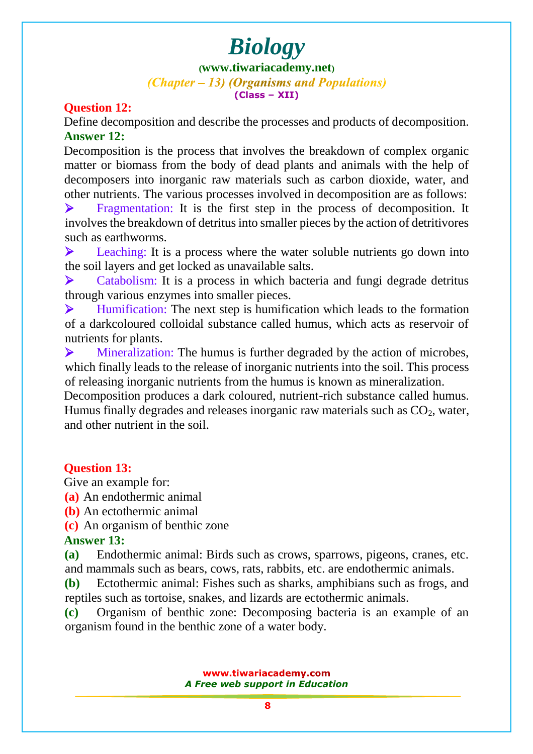#### **([www.tiwariacademy.net](http://www.tiwariacademy.net/))** (Chapter – 13) (Organisms and Populations) **(Class – XII)**

#### **Question 12:**

Define decomposition and describe the processes and products of decomposition. **Answer 12:**

Decomposition is the process that involves the breakdown of complex organic matter or biomass from the body of dead plants and animals with the help of decomposers into inorganic raw materials such as carbon dioxide, water, and other nutrients. The various processes involved in decomposition are as follows:

**Example 1** Fragmentation: It is the first step in the process of decomposition. It involves the breakdown of detritus into smaller pieces by the action of detritivores such as earthworms.

Eeaching: It is a process where the water soluble nutrients go down into the soil layers and get locked as unavailable salts.

ightharpoonup Catabolism: It is a process in which bacteria and fungi degrade detritus through various enzymes into smaller pieces.

 $\blacktriangleright$  Humification: The next step is humification which leads to the formation of a darkcoloured colloidal substance called humus, which acts as reservoir of nutrients for plants.

 Mineralization: The humus is further degraded by the action of microbes, which finally leads to the release of inorganic nutrients into the soil. This process of releasing inorganic nutrients from the humus is known as mineralization.

Decomposition produces a dark coloured, nutrient-rich substance called humus. Humus finally degrades and releases inorganic raw materials such as  $CO<sub>2</sub>$ , water, and other nutrient in the soil.

## **Question 13:**

Give an example for:

**(a)** An endothermic animal

**(b)** An ectothermic animal

**(c)** An organism of benthic zone

## **Answer 13:**

**(a)** Endothermic animal: Birds such as crows, sparrows, pigeons, cranes, etc. and mammals such as bears, cows, rats, rabbits, etc. are endothermic animals.

**(b)** Ectothermic animal: Fishes such as sharks, amphibians such as frogs, and reptiles such as tortoise, snakes, and lizards are ectothermic animals.

**(c)** Organism of benthic zone: Decomposing bacteria is an example of an organism found in the benthic zone of a water body.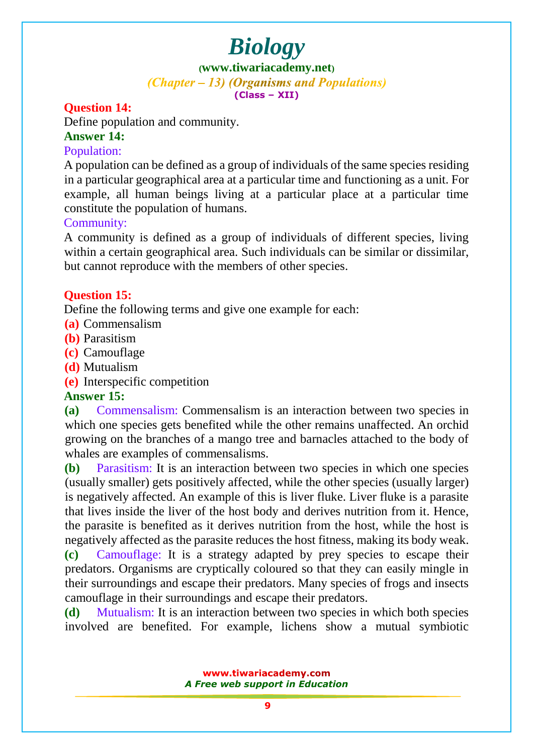**([www.tiwariacademy.net](http://www.tiwariacademy.net/))** (Chapter – 13) (Organisms and Populations) **(Class – XII)**

## **Question 14:**

Define population and community.

#### **Answer 14:**

## Population:

A population can be defined as a group of individuals of the same species residing in a particular geographical area at a particular time and functioning as a unit. For example, all human beings living at a particular place at a particular time constitute the population of humans.

## Community:

A community is defined as a group of individuals of different species, living within a certain geographical area. Such individuals can be similar or dissimilar, but cannot reproduce with the members of other species.

## **Question 15:**

Define the following terms and give one example for each:

- **(a)** Commensalism
- **(b)** Parasitism
- **(c)** Camouflage
- **(d)** Mutualism
- **(e)** Interspecific competition

## **Answer 15:**

**(a)** Commensalism: Commensalism is an interaction between two species in which one species gets benefited while the other remains unaffected. An orchid growing on the branches of a mango tree and barnacles attached to the body of whales are examples of commensalisms.

**(b)** Parasitism: It is an interaction between two species in which one species (usually smaller) gets positively affected, while the other species (usually larger) is negatively affected. An example of this is liver fluke. Liver fluke is a parasite that lives inside the liver of the host body and derives nutrition from it. Hence, the parasite is benefited as it d[erives nutritio](www.tiwariacademy.com)n from the host, while the host is negatively affected as the parasite reduces the host fitness, making its body weak. **(c)** Camouflage: It is a strategy adapted by prey species to escape their predators. Organisms are cryptically coloured so that they can easily mingle in their surroundings and escape their predators. Many species of frogs and insects camouflage in their surroundings and escape their predators.

**(d)** Mutualism: It is an interaction between two species in which both species involved are benefited. For example, lichens show a mutual symbiotic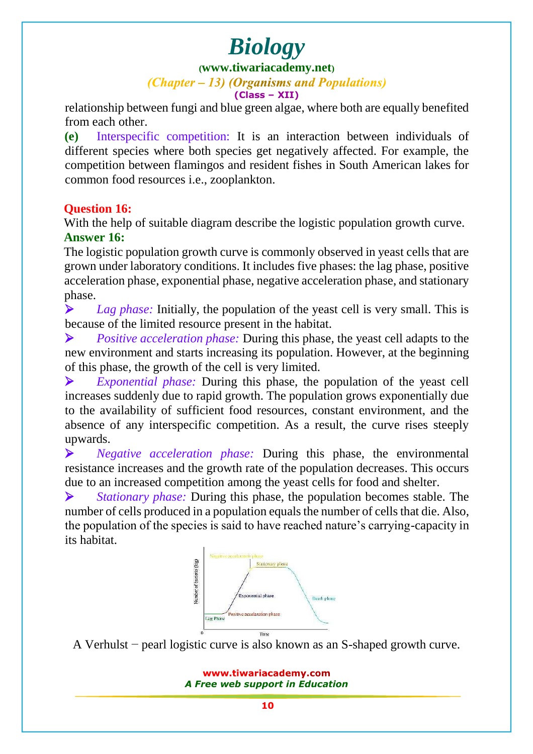## **([www.tiwariacademy.net](http://www.tiwariacademy.net/))**

#### (Chapter – 13) (Organisms and Populations)

**(Class – XII)**

relationship between fungi and blue green algae, where both are equally benefited from each other.

**(e)** Interspecific competition: It is an interaction between individuals of different species where both species get negatively affected. For example, the competition between flamingos and resident fishes in South American lakes for common food resources i.e., zooplankton.

## **Question 16:**

With the help of suitable diagram describe the logistic population growth curve. **Answer 16:**

The logistic population growth curve is commonly observed in yeast cells that are grown under laboratory conditions. It includes five phases: the lag phase, positive acceleration phase, exponential phase, negative acceleration phase, and stationary phase.

**Example 1** Lag phase: Initially, the population of the yeast cell is very small. This is because of the limited resou[rce present in th](www.tiwariacademy.com)e habitat.

 *Positive acceleration phase:* During this phase, the yeast cell adapts to the new environment and starts increasing its population. However, at the beginning of this phase, the growth of the cell is very limited.

 *Exponential phase:* During this phase, the population of the yeast cell increases suddenly due to rapid growth. The population grows exponentially due to the availability of sufficient food resources, constant environment, and the absence of any interspecific competition. As a result, the curve rises steeply upwards.

 *Negative acceleration phase:* During this phase, the environmental resistance increases and the growth rate of the population decreases. This occurs due to an increased competition among the yeast cells for food and shelter.

 *Stationary phase:* During this phase, the population becomes stable. The number of cells produced in a population equals the number of cells that die. Also, the population of the species is said to have reached nature's carrying-capacity in its habitat.



A Verhulst − pearl logistic curve is also known as an S-shaped growth curve.